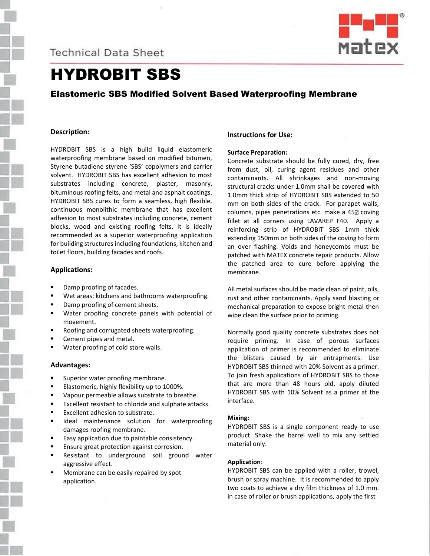**Technical Data Sheet** 



# HYDROBIT SBS

# Elastomeric SBS Modified Solvent Based Waterproofing Membrane

## **Description:**

HYDROBIT SBS is a high build liquid elastomeric waterproofing membrane based on modified bitumen, Styrene butadiene styrene 'SBS' copolymers and carrier solvent. HYDROBIT SBS has excellent adhesion to most substrates including concrete, plaster, masonry, bituminous roofing felts, and metal and asphalt coatings. HYDROBIT SBS cures to form a seamless, high flexible, continuous monolithic membrane that has excellent adhesion to most substrates including concrete, cement blocks, wood and existing roofing felts. It is ideally recommended as a superior waterproofing application for building structures including foundations, kitchen and toilet floors, building facades and roofs.

#### **Applications:**

- Damp proofing of facades.
- Wet areas: kitchens and bathrooms waterproofing.
- Damp proofing of cement sheets.
- Water proofing concrete panels with potential of movement.
- Roofing and corrugated sheets waterproofing.
- Cement pipes and metal.
- Water proofing of cold store walls.

#### **Advantages:**

- Superior water proofing membrane.
- Elastomeric, highly flexibility up to 1000%.
- Vapour permeable allows substrate to breathe.
- Excellent resistant to chloride and sulphate attacks.
- Excellent adhesion to substrate.
- Ideal maintenance solution for waterproofing damages roofing membrane.
- Easy application due to paintable consistency.
- Ensure great protection against corrosion.
- Resistant to underground soil ground water aggressive effect.
- Membrane can be easily repaired by spot application.

## **Instructions for Use:**

#### **Surface Preparation:**

Concrete substrate should be fully cured, dry, free from dust, oil, curing agent residues and other contaminants. All shrinkages and non-moving structural cracks under 1.0mm shall be covered with 1.0mm thick strip of HYDROBIT SBS extended to 50 mm on both sides of the crack. For parapet walls, columns, pipes penetrations etc. make a 452 coving fillet at all corners using LAVAREP F40. Apply a reinforcing strip of HYDROBIT SBS 1mm thick extending 150mm on both sides of the coving to form an over flashing. Voids and honeycombs must be patched with MATEX concrete repair products. Allow the patched area to cure before applying the membrane.

All metal surfaces should be made clean of paint, oils, rust and other contaminants. Apply sand blasting or mechanical preparation to expose bright metal then wipe clean the surface prior to priming.

Normally good quality concrete substrates does not require priming. In case of porous surfaces application of primer is recommended to eliminate the blisters caused by air entrapments. Use HYDROBIT SBS thinned with 20% Solvent as a primer. To join fresh applications of HYDROBIT SBS to those that are more than 48 hours old, apply diluted HYDROBIT SBS with 10% Solvent as a primer at the interface.

#### **Mixing:**

HYDROBIT SBS is a single component ready to use product. Shake the barrel well to mix any settled material only.

#### **Application**:

HYDROBIT SBS can be applied with a roller, trowel, brush or spray machine. It is recommended to apply two coats to achieve a dry film thickness of 1.0 mm. in case of roller or brush applications, apply the first